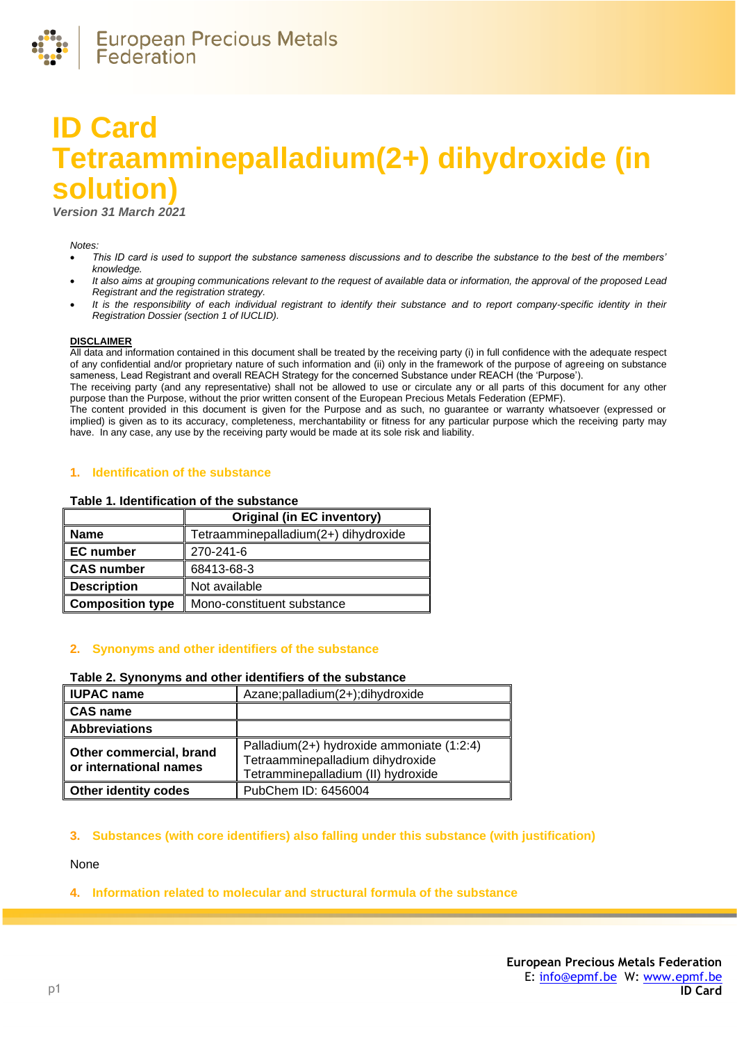

# **ID Card Tetraamminepalladium(2+) dihydroxide (in solution)**

*Version 31 March 2021*

#### *Notes:*

- *This ID card is used to support the substance sameness discussions and to describe the substance to the best of the members' knowledge.*
- *It also aims at grouping communications relevant to the request of available data or information, the approval of the proposed Lead Registrant and the registration strategy.*
- *It is the responsibility of each individual registrant to identify their substance and to report company-specific identity in their Registration Dossier (section 1 of IUCLID).*

#### **DISCLAIMER**

All data and information contained in this document shall be treated by the receiving party (i) in full confidence with the adequate respect of any confidential and/or proprietary nature of such information and (ii) only in the framework of the purpose of agreeing on substance sameness, Lead Registrant and overall REACH Strategy for the concerned Substance under REACH (the 'Purpose').

The receiving party (and any representative) shall not be allowed to use or circulate any or all parts of this document for any other purpose than the Purpose, without the prior written consent of the European Precious Metals Federation (EPMF).

The content provided in this document is given for the Purpose and as such, no guarantee or warranty whatsoever (expressed or implied) is given as to its accuracy, completeness, merchantability or fitness for any particular purpose which the receiving party may have. In any case, any use by the receiving party would be made at its sole risk and liability.

## **1. Identification of the substance**

#### **Table 1. Identification of the substance**

|                         | <b>Original (in EC inventory)</b>    |
|-------------------------|--------------------------------------|
| <b>Name</b>             | Tetraamminepalladium(2+) dihydroxide |
| <b>EC</b> number        | 270-241-6                            |
| CAS number              | 68413-68-3                           |
| <b>Description</b>      | Not available                        |
| <b>Composition type</b> | Mono-constituent substance           |

#### **2. Synonyms and other identifiers of the substance**

#### **Table 2. Synonyms and other identifiers of the substance**

| <b>IUPAC name</b>                                 | Azane;palladium(2+);dihydroxide                                                                                     |
|---------------------------------------------------|---------------------------------------------------------------------------------------------------------------------|
| <b>CAS name</b>                                   |                                                                                                                     |
| <b>Abbreviations</b>                              |                                                                                                                     |
| Other commercial, brand<br>or international names | Palladium(2+) hydroxide ammoniate (1:2:4)<br>Tetraamminepalladium dihydroxide<br>Tetramminepalladium (II) hydroxide |
| <b>Other identity codes</b>                       | PubChem ID: 6456004                                                                                                 |

# **3. Substances (with core identifiers) also falling under this substance (with justification)**

None

# **4. Information related to molecular and structural formula of the substance**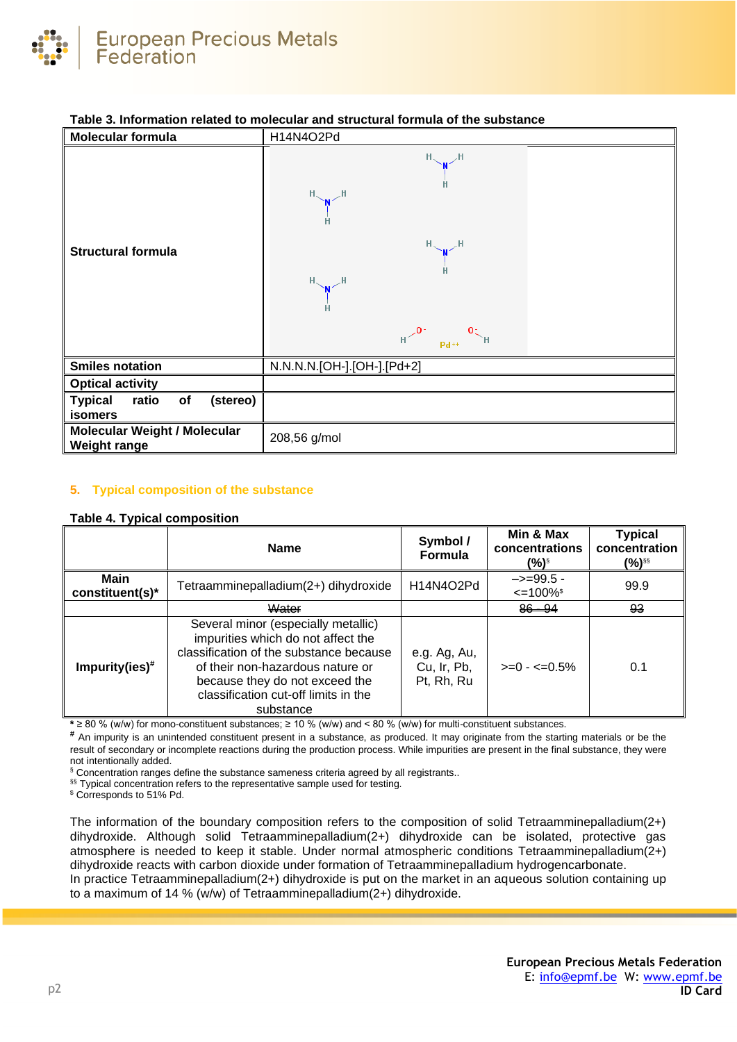

| Molecular formula                                          | H14N4O2Pd                                                                                                        |
|------------------------------------------------------------|------------------------------------------------------------------------------------------------------------------|
| <b>Structural formula</b>                                  | $H \sim M$<br>$H \sim M \sim H$<br>$H \sim N$<br>$H \sim M$<br>н<br>$H \leftarrow 0$ $P_{d^{++}}$ $O_{\sim}$ $H$ |
| <b>Smiles notation</b>                                     | N.N.N.N.[OH-].[OH-].[Pd+2]                                                                                       |
| <b>Optical activity</b>                                    |                                                                                                                  |
| ratio<br><b>Typical</b><br>of<br>(stereo)<br>isomers       |                                                                                                                  |
| <b>Molecular Weight / Molecular</b><br><b>Weight range</b> | 208,56 g/mol                                                                                                     |

# **Table 3. Information related to molecular and structural formula of the substance**

# **5. Typical composition of the substance**

## **Table 4. Typical composition**

|                         | <b>Name</b>                                                                                                                                                                                                                                     | Symbol /<br>Formula                       | Min & Max<br>concentrations<br>(%)§               | <b>Typical</b><br>concentration<br>(%)§§ |
|-------------------------|-------------------------------------------------------------------------------------------------------------------------------------------------------------------------------------------------------------------------------------------------|-------------------------------------------|---------------------------------------------------|------------------------------------------|
| Main<br>constituent(s)* | Tetraamminepalladium(2+) dihydroxide                                                                                                                                                                                                            | H14N4O2Pd                                 | $\rightarrow = 99.5$<br>$\leq$ 100% $\frac{1}{2}$ | 99.9                                     |
|                         | Water                                                                                                                                                                                                                                           |                                           | $86 - 94$                                         | 93                                       |
| Impurity(ies) $#$       | Several minor (especially metallic)<br>impurities which do not affect the<br>classification of the substance because<br>of their non-hazardous nature or<br>because they do not exceed the<br>classification cut-off limits in the<br>substance | e.g. Ag, Au,<br>Cu, Ir, Pb,<br>Pt, Rh, Ru | $>=0 - 5\%$                                       | 0.1                                      |

**\*** ≥ 80 % (w/w) for mono-constituent substances; ≥ 10 % (w/w) and < 80 % (w/w) for multi-constituent substances.

**#** An impurity is an unintended constituent present in a substance, as produced. It may originate from the starting materials or be the result of secondary or incomplete reactions during the production process. While impurities are present in the final substance, they were not intentionally added.

§ Concentration ranges define the substance sameness criteria agreed by all registrants..

§§ Typical concentration refers to the representative sample used for testing.

\$ Corresponds to 51% Pd.

The information of the boundary composition refers to the composition of solid Tetraamminepalladium(2+) dihydroxide. Although solid Tetraamminepalladium(2+) dihydroxide can be isolated, protective gas atmosphere is needed to keep it stable. Under normal atmospheric conditions Tetraamminepalladium(2+) dihydroxide reacts with carbon dioxide under formation of Tetraamminepalladium hydrogencarbonate. In practice Tetraamminepalladium(2+) dihydroxide is put on the market in an aqueous solution containing up to a maximum of 14 % (w/w) of Tetraamminepalladium(2+) dihydroxide.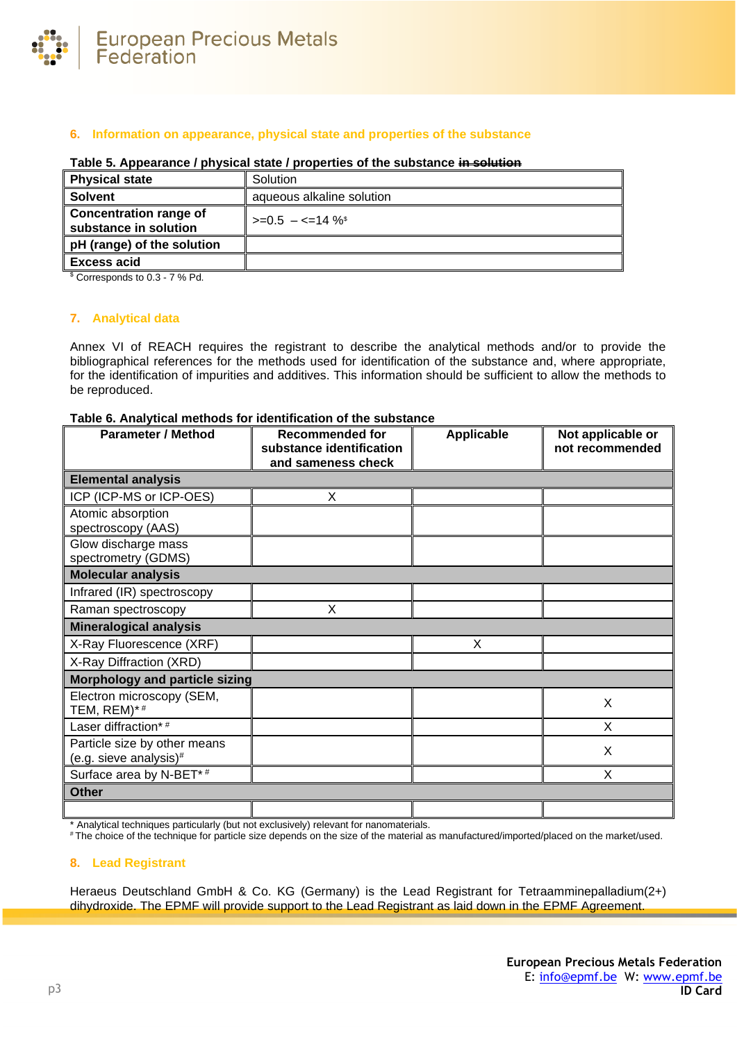

# **6. Information on appearance, physical state and properties of the substance**

| <b>Physical state</b>                                  | Solution                  |
|--------------------------------------------------------|---------------------------|
| <b>Solvent</b>                                         | aqueous alkaline solution |
| <b>Concentration range of</b><br>substance in solution | $>=0.5 - 5 = 14 \%$       |
| pH (range) of the solution                             |                           |
| <b>Excess acid</b>                                     |                           |
|                                                        |                           |

# **Table 5. Appearance / physical state / properties of the substance in solution**

\$ Corresponds to 0.3 - 7 % Pd.

## **7. Analytical data**

Annex VI of REACH requires the registrant to describe the analytical methods and/or to provide the bibliographical references for the methods used for identification of the substance and, where appropriate, for the identification of impurities and additives. This information should be sufficient to allow the methods to be reproduced.

# **Table 6. Analytical methods for identification of the substance**

| <b>Parameter / Method</b>                              | <b>Recommended for</b><br>substance identification<br>and sameness check | Applicable | Not applicable or<br>not recommended |
|--------------------------------------------------------|--------------------------------------------------------------------------|------------|--------------------------------------|
| <b>Elemental analysis</b>                              |                                                                          |            |                                      |
| ICP (ICP-MS or ICP-OES)                                | X                                                                        |            |                                      |
| Atomic absorption<br>spectroscopy (AAS)                |                                                                          |            |                                      |
| Glow discharge mass<br>spectrometry (GDMS)             |                                                                          |            |                                      |
| <b>Molecular analysis</b>                              |                                                                          |            |                                      |
| Infrared (IR) spectroscopy                             |                                                                          |            |                                      |
| Raman spectroscopy                                     | X                                                                        |            |                                      |
| <b>Mineralogical analysis</b>                          |                                                                          |            |                                      |
| X-Ray Fluorescence (XRF)                               |                                                                          | X          |                                      |
| X-Ray Diffraction (XRD)                                |                                                                          |            |                                      |
| <b>Morphology and particle sizing</b>                  |                                                                          |            |                                      |
| Electron microscopy (SEM,<br>TEM, REM)*#               |                                                                          |            | X                                    |
| Laser diffraction*#                                    |                                                                          |            | X                                    |
| Particle size by other means<br>(e.g. sieve analysis)# |                                                                          |            | X                                    |
| Surface area by N-BET*#                                |                                                                          |            | X                                    |
| <b>Other</b>                                           |                                                                          |            |                                      |
|                                                        |                                                                          |            |                                      |

\* Analytical techniques particularly (but not exclusively) relevant for nanomaterials.

# The choice of the technique for particle size depends on the size of the material as manufactured/imported/placed on the market/used.

# **8. Lead Registrant**

Heraeus Deutschland GmbH & Co. KG (Germany) is the Lead Registrant for Tetraamminepalladium(2+) dihydroxide. The EPMF will provide support to the Lead Registrant as laid down in the EPMF Agreement.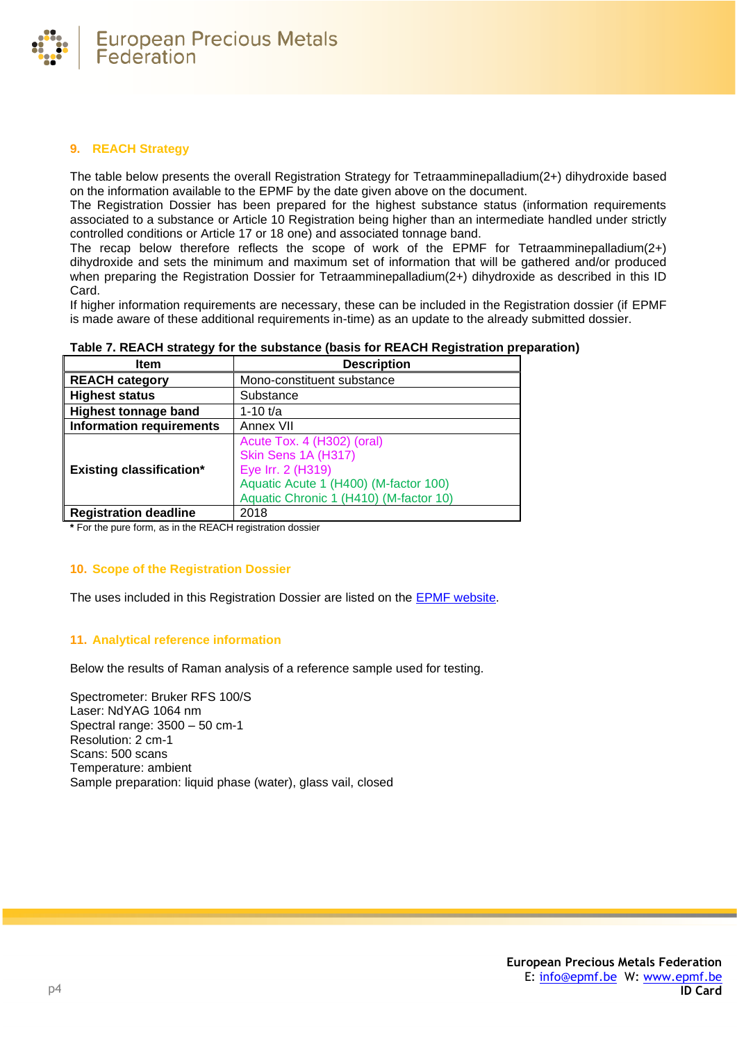

# **9. REACH Strategy**

The table below presents the overall Registration Strategy for Tetraamminepalladium(2+) dihydroxide based on the information available to the EPMF by the date given above on the document.

The Registration Dossier has been prepared for the highest substance status (information requirements associated to a substance or Article 10 Registration being higher than an intermediate handled under strictly controlled conditions or Article 17 or 18 one) and associated tonnage band.

The recap below therefore reflects the scope of work of the EPMF for Tetraamminepalladium(2+) dihydroxide and sets the minimum and maximum set of information that will be gathered and/or produced when preparing the Registration Dossier for Tetraamminepalladium(2+) dihydroxide as described in this ID Card.

If higher information requirements are necessary, these can be included in the Registration dossier (if EPMF is made aware of these additional requirements in-time) as an update to the already submitted dossier.

| Item                            | <b>Description</b>                                                                                                                                        |
|---------------------------------|-----------------------------------------------------------------------------------------------------------------------------------------------------------|
| <b>REACH category</b>           | Mono-constituent substance                                                                                                                                |
| <b>Highest status</b>           | Substance                                                                                                                                                 |
| <b>Highest tonnage band</b>     | 1-10 $t/a$                                                                                                                                                |
| <b>Information requirements</b> | Annex VII                                                                                                                                                 |
| <b>Existing classification*</b> | Acute Tox. 4 (H302) (oral)<br>Skin Sens 1A (H317)<br>Eye Irr. 2 (H319)<br>Aquatic Acute 1 (H400) (M-factor 100)<br>Aquatic Chronic 1 (H410) (M-factor 10) |
| <b>Registration deadline</b>    | 2018                                                                                                                                                      |

**Table 7. REACH strategy for the substance (basis for REACH Registration preparation)**

**\*** For the pure form, as in the REACH registration dossier

# **10. Scope of the Registration Dossier**

The uses included in this Registration Dossier are listed on the [EPMF website.](https://www.epmf.be/)

# **11. Analytical reference information**

Below the results of Raman analysis of a reference sample used for testing.

Spectrometer: Bruker RFS 100/S Laser: NdYAG 1064 nm Spectral range: 3500 – 50 cm-1 Resolution: 2 cm-1 Scans: 500 scans Temperature: ambient Sample preparation: liquid phase (water), glass vail, closed